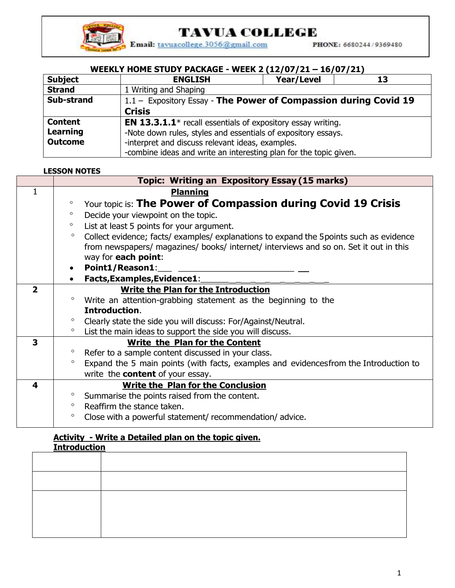

# **TAVUA COLLEGE**

Email: tavuacollege.3056@gmail.com

PHONE: 6680244/9369480

### **WEEKLY HOME STUDY PACKAGE - WEEK 2 (12/07/21 – 16/07/21)**

| <b>Subject</b>  | <b>ENGLISH</b>                                                        | Year/Level | 13 |
|-----------------|-----------------------------------------------------------------------|------------|----|
| <b>Strand</b>   | 1 Writing and Shaping                                                 |            |    |
| Sub-strand      | 1.1 - Expository Essay - The Power of Compassion during Covid 19      |            |    |
|                 | <b>Crisis</b>                                                         |            |    |
| <b>Content</b>  | <b>EN 13.3.1.1</b> $*$ recall essentials of expository essay writing. |            |    |
| <b>Learning</b> | -Note down rules, styles and essentials of expository essays.         |            |    |
| <b>Outcome</b>  | -interpret and discuss relevant ideas, examples.                      |            |    |
|                 | -combine ideas and write an interesting plan for the topic given.     |            |    |

#### **LESSON NOTES**

|                | <b>Topic: Writing an Expository Essay (15 marks)</b>                                               |  |
|----------------|----------------------------------------------------------------------------------------------------|--|
| 1              | <b>Planning</b>                                                                                    |  |
|                | Your topic is: The Power of Compassion during Covid 19 Crisis<br>$\circ$                           |  |
|                | Decide your viewpoint on the topic.                                                                |  |
|                | $\circ$<br>List at least 5 points for your argument.                                               |  |
|                | Collect evidence; facts/ examples/ explanations to expand the 5 points such as evidence<br>$\circ$ |  |
|                | from newspapers/ magazines/ books/ internet/ interviews and so on. Set it out in this              |  |
|                | way for each point:                                                                                |  |
|                | Point1/Reason1:                                                                                    |  |
|                | Facts, Examples, Evidence1:                                                                        |  |
| $\overline{2}$ | <b>Write the Plan for the Introduction</b>                                                         |  |
|                | Write an attention-grabbing statement as the beginning to the<br>$\circ$                           |  |
|                | Introduction.                                                                                      |  |
|                | Clearly state the side you will discuss: For/Against/Neutral.<br>$\circ$                           |  |
|                | List the main ideas to support the side you will discuss.                                          |  |
| $\mathbf{3}$   | Write the Plan for the Content                                                                     |  |
|                | Refer to a sample content discussed in your class.<br>$\circ$                                      |  |
|                | Expand the 5 main points (with facts, examples and evidences from the Introduction to<br>$\circ$   |  |
|                | write the <b>content</b> of your essay.                                                            |  |
| 4              | <b>Write the Plan for the Conclusion</b>                                                           |  |
|                | Summarise the points raised from the content.<br>$\circ$                                           |  |
|                | Reaffirm the stance taken.<br>$\circ$                                                              |  |
|                | Close with a powerful statement/ recommendation/ advice.<br>$\circ$                                |  |

#### **Activity - Write a Detailed plan on the topic given. Introduction**

| <u>TIRRATE DE LA PARA</u> |  |
|---------------------------|--|
|                           |  |
|                           |  |
|                           |  |
|                           |  |
|                           |  |